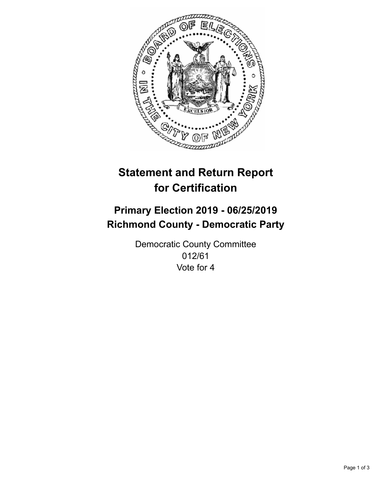

## **Statement and Return Report for Certification**

## **Primary Election 2019 - 06/25/2019 Richmond County - Democratic Party**

Democratic County Committee 012/61 Vote for 4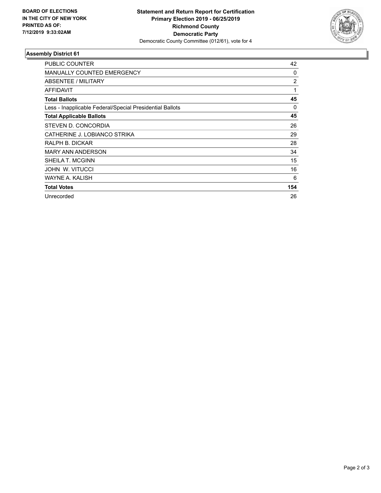

## **Assembly District 61**

| <b>PUBLIC COUNTER</b>                                    | 42             |
|----------------------------------------------------------|----------------|
| <b>MANUALLY COUNTED EMERGENCY</b>                        | 0              |
| ABSENTEE / MILITARY                                      | $\overline{2}$ |
| <b>AFFIDAVIT</b>                                         | 1              |
| <b>Total Ballots</b>                                     | 45             |
| Less - Inapplicable Federal/Special Presidential Ballots | 0              |
| <b>Total Applicable Ballots</b>                          | 45             |
| STEVEN D. CONCORDIA                                      | 26             |
| CATHERINE J. LOBIANCO STRIKA                             | 29             |
| RALPH B. DICKAR                                          | 28             |
| <b>MARY ANN ANDERSON</b>                                 | 34             |
| SHEILA T. MCGINN                                         | 15             |
| JOHN W. VITUCCI                                          | 16             |
| WAYNE A. KALISH                                          | 6              |
| <b>Total Votes</b>                                       | 154            |
| Unrecorded                                               | 26             |